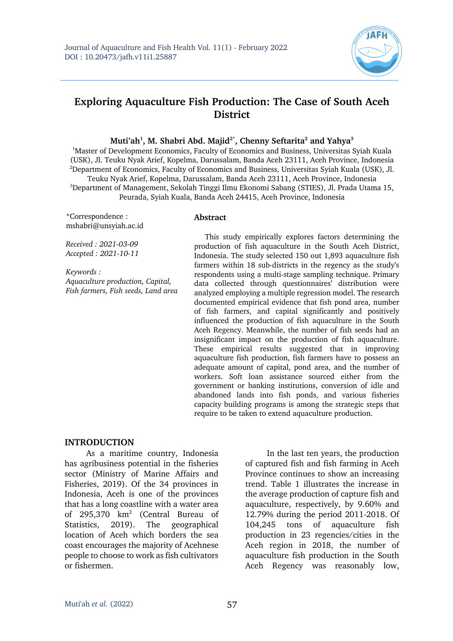

# **Exploring Aquaculture Fish Production: The Case of South Aceh District**

**Muti'ah1 , M. Shabri Abd. Majid2\*, Chenny Seftarita2 and Yahya3**

<sup>1</sup>Master of Development Economics, Faculty of Economics and Business, Universitas Syiah Kuala (USK), Jl. Teuku Nyak Arief, Kopelma, Darussalam, Banda Aceh 23111, Aceh Province, Indonesia 2 Department of Economics, Faculty of Economics and Business, Universitas Syiah Kuala (USK), Jl. Teuku Nyak Arief, Kopelma, Darussalam, Banda Aceh 23111, Aceh Province, Indonesia 3 Department of Management, Sekolah Tinggi Ilmu Ekonomi Sabang (STIES), Jl. Prada Utama 15, Peurada, Syiah Kuala, Banda Aceh 24415, Aceh Province, Indonesia

\*Correspondence : mshabri@unsyiah.ac.id

*Received : 2021-03-09 Accepted : 2021-10-11*

*Keywords : Aquaculture production, Capital, Fish farmers, Fish seeds, Land area* 

#### **Abstract**

This study empirically explores factors determining the production of fish aquaculture in the South Aceh District, Indonesia. The study selected 150 out 1,893 aquaculture fish farmers within 18 sub-districts in the regency as the study's respondents using a multi-stage sampling technique. Primary data collected through questionnaires' distribution were analyzed employing a multiple regression model. The research documented empirical evidence that fish pond area, number of fish farmers, and capital significantly and positively influenced the production of fish aquaculture in the South Aceh Regency. Meanwhile, the number of fish seeds had an insignificant impact on the production of fish aquaculture. These empirical results suggested that in improving aquaculture fish production, fish farmers have to possess an adequate amount of capital, pond area, and the number of workers. Soft loan assistance sourced either from the government or banking institutions, conversion of idle and abandoned lands into fish ponds, and various fisheries capacity building programs is among the strategic steps that require to be taken to extend aquaculture production.

#### **INTRODUCTION**

As a maritime country, Indonesia has agribusiness potential in the fisheries sector (Ministry of Marine Affairs and Fisheries, 2019). Of the 34 provinces in Indonesia, Aceh is one of the provinces that has a long coastline with a water area of 295,370 km2 (Central Bureau of Statistics, 2019). The geographical location of Aceh which borders the sea coast encourages the majority of Acehnese people to choose to work as fish cultivators or fishermen.

In the last ten years, the production of captured fish and fish farming in Aceh Province continues to show an increasing trend. Table 1 illustrates the increase in the average production of capture fish and aquaculture, respectively, by 9.60% and 12.79% during the period 2011-2018. Of 104,245 tons of aquaculture fish production in 23 regencies/cities in the Aceh region in 2018, the number of aquaculture fish production in the South Aceh Regency was reasonably low,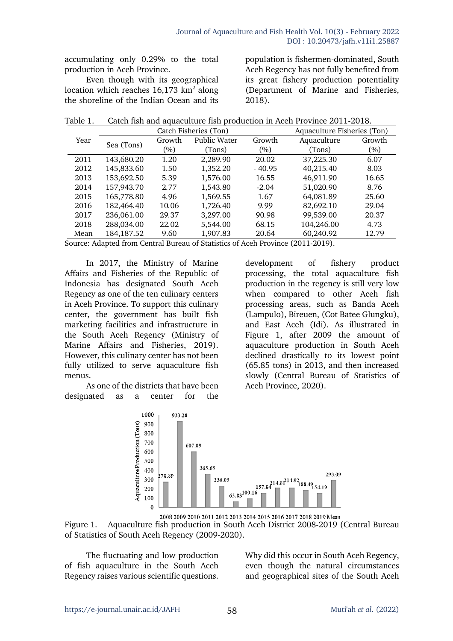accumulating only 0.29% to the total production in Aceh Province.

Even though with its geographical location which reaches  $16,173$  km<sup>2</sup> along the shoreline of the Indian Ocean and its

population is fishermen-dominated, South Aceh Regency has not fully benefited from its great fishery production potentiality (Department of Marine and Fisheries, 2018).

Table 1. Catch fish and aquaculture fish production in Aceh Province 2011-2018.

|      |              |         | Catch Fisheries (Ton) |          | Aquaculture Fisheries (Ton) |        |
|------|--------------|---------|-----------------------|----------|-----------------------------|--------|
| Year | Sea (Tons)   | Growth  | Public Water          | Growth   | Aquaculture                 | Growth |
|      |              | $(\% )$ | (Tons)                | $(\% )$  | (Tons)                      | $(\%)$ |
| 2011 | 143,680.20   | 1.20    | 2,289.90              | 20.02    | 37,225.30                   | 6.07   |
| 2012 | 145,833.60   | 1.50    | 1,352.20              | $-40.95$ | 40,215.40                   | 8.03   |
| 2013 | 153,692.50   | 5.39    | 1,576.00              | 16.55    | 46,911.90                   | 16.65  |
| 2014 | 157,943.70   | 2.77    | 1,543.80              | $-2.04$  | 51,020.90                   | 8.76   |
| 2015 | 165,778.80   | 4.96    | 1,569.55              | 1.67     | 64,081.89                   | 25.60  |
| 2016 | 182,464.40   | 10.06   | 1,726.40              | 9.99     | 82,692.10                   | 29.04  |
| 2017 | 236,061.00   | 29.37   | 3,297.00              | 90.98    | 99,539.00                   | 20.37  |
| 2018 | 288,034.00   | 22.02   | 5,544.00              | 68.15    | 104,246.00                  | 4.73   |
| Mean | 184, 187. 52 | 9.60    | 1,907.83              | 20.64    | 60,240.92                   | 12.79  |

Source: Adapted from Central Bureau of Statistics of Aceh Province (2011-2019).

In 2017, the Ministry of Marine Affairs and Fisheries of the Republic of Indonesia has designated South Aceh Regency as one of the ten culinary centers in Aceh Province. To support this culinary center, the government has built fish marketing facilities and infrastructure in the South Aceh Regency (Ministry of Marine Affairs and Fisheries, 2019). However, this culinary center has not been fully utilized to serve aquaculture fish menus.

As one of the districts that have been designated as a center for the

development of fishery product processing, the total aquaculture fish production in the regency is still very low when compared to other Aceh fish processing areas, such as Banda Aceh (Lampulo), Bireuen, (Cot Batee Glungku), and East Aceh (Idi). As illustrated in Figure 1, after 2009 the amount of aquaculture production in South Aceh declined drastically to its lowest point (65.85 tons) in 2013, and then increased slowly (Central Bureau of Statistics of Aceh Province, 2020).



2008 2009 2010 2011 2012 2013 2014 2015 2016 2017 2018 2019 Mean

Figure 1. Aquaculture fish production in South Aceh District 2008-2019 (Central Bureau of Statistics of South Aceh Regency (2009-2020).

The fluctuating and low production of fish aquaculture in the South Aceh Regency raises various scientific questions.

Why did this occur in South Aceh Regency, even though the natural circumstances and geographical sites of the South Aceh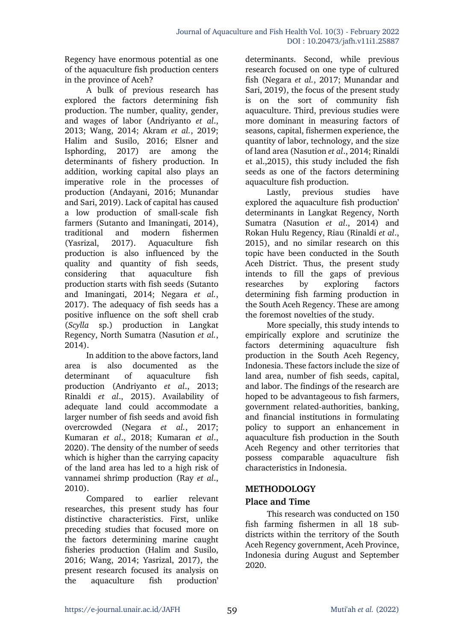Regency have enormous potential as one of the aquaculture fish production centers in the province of Aceh?

A bulk of previous research has explored the factors determining fish production. The number, quality, gender, and wages of labor (Andriyanto *et al*., 2013; Wang, 2014; Akram *et al.*, 2019; Halim and Susilo, 2016; Elsner and Isphording, 2017) are among the determinants of fishery production. In addition, working capital also plays an imperative role in the processes of production (Andayani, 2016; Munandar and Sari, 2019). Lack of capital has caused a low production of small-scale fish farmers (Sutanto and Imaningati, 2014), traditional and modern fishermen (Yasrizal, 2017). Aquaculture fish production is also influenced by the quality and quantity of fish seeds, considering that aquaculture fish production starts with fish seeds (Sutanto and Imaningati, 2014; Negara *et al.*, 2017). The adequacy of fish seeds has a positive influence on the soft shell crab (*Scylla* sp.) production in Langkat Regency, North Sumatra (Nasution *et al.*, 2014).

In addition to the above factors, land area is also documented as the determinant of aquaculture fish production (Andriyanto *et al*., 2013; Rinaldi *et al*., 2015). Availability of adequate land could accommodate a larger number of fish seeds and avoid fish overcrowded (Negara *et al.*, 2017; Kumaran *et al*., 2018; Kumaran *et al*., 2020). The density of the number of seeds which is higher than the carrying capacity of the land area has led to a high risk of vannamei shrimp production (Ray *et al*., 2010).

Compared to earlier relevant researches, this present study has four distinctive characteristics. First, unlike preceding studies that focused more on the factors determining marine caught fisheries production (Halim and Susilo, 2016; Wang, 2014; Yasrizal, 2017), the present research focused its analysis on the aquaculture fish production'

determinants. Second, while previous research focused on one type of cultured fish (Negara *et al.*, 2017; Munandar and Sari, 2019), the focus of the present study is on the sort of community fish aquaculture. Third, previous studies were more dominant in measuring factors of seasons, capital, fishermen experience, the quantity of labor, technology, and the size of land area (Nasution *et al*., 2014; Rinaldi et al.,2015), this study included the fish seeds as one of the factors determining aquaculture fish production.

Lastly, previous studies have explored the aquaculture fish production' determinants in Langkat Regency, North Sumatra (Nasution *et al*., 2014) and Rokan Hulu Regency, Riau (Rinaldi *et al*., 2015), and no similar research on this topic have been conducted in the South Aceh District. Thus, the present study intends to fill the gaps of previous researches by exploring factors determining fish farming production in the South Aceh Regency. These are among the foremost novelties of the study.

More specially, this study intends to empirically explore and scrutinize the factors determining aquaculture fish production in the South Aceh Regency, Indonesia. These factors include the size of land area, number of fish seeds, capital, and labor. The findings of the research are hoped to be advantageous to fish farmers, government related-authorities, banking, and financial institutions in formulating policy to support an enhancement in aquaculture fish production in the South Aceh Regency and other territories that possess comparable aquaculture fish characteristics in Indonesia.

# **METHODOLOGY**

# **Place and Time**

This research was conducted on 150 fish farming fishermen in all 18 subdistricts within the territory of the South Aceh Regency government, Aceh Province, Indonesia during August and September 2020.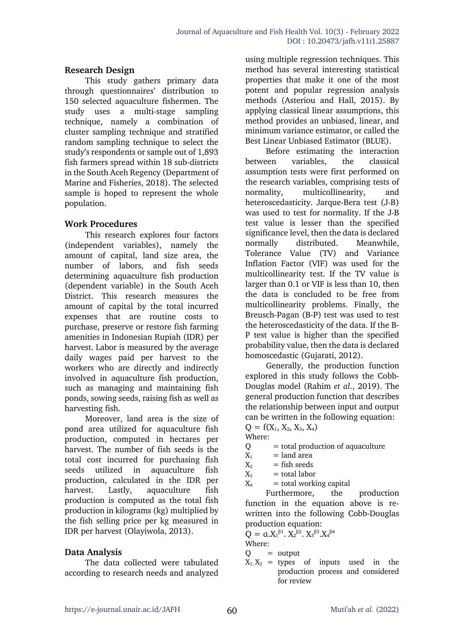# **Research Design**

This study gathers primary data through questionnaires' distribution to 150 selected aquaculture fishermen. The study uses a multi-stage sampling technique, namely a combination of cluster sampling technique and stratified random sampling technique to select the study's respondents or sample out of 1,893 fish farmers spread within 18 sub-districts in the South Aceh Regency (Department of Marine and Fisheries, 2018). The selected sample is hoped to represent the whole population.

### **Work Procedures**

This research explores four factors (independent variables), namely the amount of capital, land size area, the number of labors, and fish seeds determining aquaculture fish production (dependent variable) in the South Aceh District. This research measures the amount of capital by the total incurred expenses that are routine costs to purchase, preserve or restore fish farming amenities in Indonesian Rupiah (IDR) per harvest. Labor is measured by the average daily wages paid per harvest to the workers who are directly and indirectly involved in aquaculture fish production, such as managing and maintaining fish ponds, sowing seeds, raising fish as well as harvesting fish.

Moreover, land area is the size of pond area utilized for aquaculture fish production, computed in hectares per harvest. The number of fish seeds is the total cost incurred for purchasing fish seeds utilized in aquaculture fish production, calculated in the IDR per harvest. Lastly, aquaculture fish production is computed as the total fish production in kilograms (kg) multiplied by the fish selling price per kg measured in IDR per harvest (Olayiwola, 2013).

# **Data Analysis**

The data collected were tabulated according to research needs and analyzed using multiple regression techniques. This method has several interesting statistical properties that make it one of the most potent and popular regression analysis methods (Asteriou and Hall, 2015). By applying classical linear assumptions, this method provides an unbiased, linear, and minimum variance estimator, or called the Best Linear Unbiased Estimator (BLUE).

Before estimating the interaction between variables, the classical assumption tests were first performed on the research variables, comprising tests of normality, multicollinearity, and heteroscedasticity. Jarque-Bera test (J-B) was used to test for normality. If the J-B test value is lesser than the specified significance level, then the data is declared normally distributed. Meanwhile, Tolerance Value (TV) and Variance Inflation Factor (VIF) was used for the multicollinearity test. If the TV value is larger than 0.1 or VIF is less than 10, then the data is concluded to be free from multicollinearity problems. Finally, the Breusch-Pagan (B-P) test was used to test the heteroscedasticity of the data. If the B-P test value is higher than the specified probability value, then the data is declared homoscedastic (Gujarati, 2012).

Generally, the production function explored in this study follows the Cobb-Douglas model (Rahim *et al*., 2019). The general production function that describes the relationship between input and output can be written in the following equation:  $Q = f(X_1, X_2, X_3, X_4)$ 

$$
Q = f(X_1, X_2, X_3, X_4)
$$
  
Where:

 $Q =$  total production of aquaculture

- $X_1$  = land area
- $X_2$  = fish seeds
- $X_3$  = total labor
- $X_4$  = total working capital

Furthermore, the production function in the equation above is rewritten into the following Cobb-Douglas production equation:

$$
Q = \alpha . X_1^{\beta 1} . X_2^{\beta 2} . X_3^{\beta 3} . X_4^{\beta 4}
$$

Where:

- $Q =$  output
- $X_1, X_2$  = types of inputs used in the production process and considered for review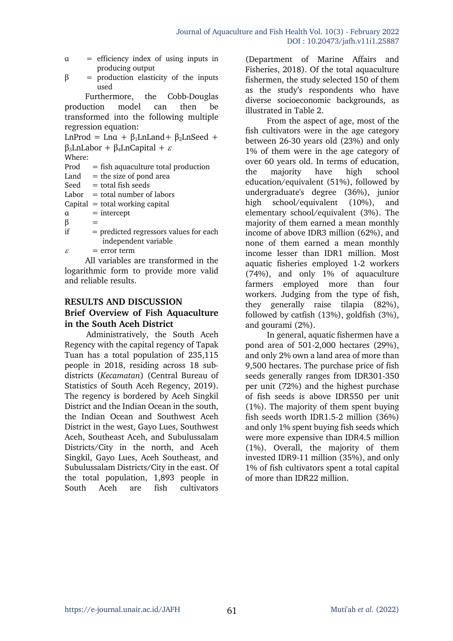- α = efficiency index of using inputs in producing output
- $β = production elasticity of the inputs$ used

Furthermore, the Cobb-Douglas production model can then be transformed into the following multiple regression equation:

LnProd = Lna +  $\beta_1$ LnLand+  $\beta_2$ LnSeed + β<sub>3</sub>LnLabor + β<sub>4</sub>LnCapital +  $\varepsilon$ Where:  $Proof = fish aquaculture total production$ Land  $=$  the size of pond area  $Seed = total fish seeds$  $Labor = total number of labors$  $Capital = total working capital$  $a =$  intercept  $\beta$  $if = predicted regressors values for each$ independent variable  $\varepsilon$  = error term

All variables are transformed in the logarithmic form to provide more valid and reliable results.

### **RESULTS AND DISCUSSION**

# **Brief Overview of Fish Aquaculture in the South Aceh District**

Administratively, the South Aceh Regency with the capital regency of Tapak Tuan has a total population of 235,115 people in 2018, residing across 18 subdistricts (*Kecamatan*) (Central Bureau of Statistics of South Aceh Regency, 2019). The regency is bordered by Aceh Singkil District and the Indian Ocean in the south, the Indian Ocean and Southwest Aceh District in the west, Gayo Lues, Southwest Aceh, Southeast Aceh, and Subulussalam Districts/City in the north, and Aceh Singkil, Gayo Lues, Aceh Southeast, and Subulussalam Districts/City in the east. Of the total population, 1,893 people in South Aceh are fish cultivators

(Department of Marine Affairs and Fisheries, 2018). Of the total aquaculture fishermen, the study selected 150 of them as the study's respondents who have diverse socioeconomic backgrounds, as illustrated in Table 2.

From the aspect of age, most of the fish cultivators were in the age category between 26-30 years old (23%) and only 1% of them were in the age category of over 60 years old. In terms of education, the majority have high school education/equivalent (51%), followed by undergraduate's degree (36%), junior high school/equivalent (10%), and elementary school/equivalent (3%). The majority of them earned a mean monthly income of above IDR3 million (62%), and none of them earned a mean monthly income lesser than IDR1 million. Most aquatic fisheries employed 1-2 workers (74%), and only 1% of aquaculture farmers employed more than four workers. Judging from the type of fish, they generally raise tilapia (82%), followed by catfish (13%), goldfish (3%), and gourami (2%).

In general, aquatic fishermen have a pond area of 501-2,000 hectares (29%), and only 2% own a land area of more than 9,500 hectares. The purchase price of fish seeds generally ranges from IDR301-350 per unit (72%) and the highest purchase of fish seeds is above IDR550 per unit (1%). The majority of them spent buying fish seeds worth IDR1.5-2 million (36%) and only 1% spent buying fish seeds which were more expensive than IDR4.5 million (1%). Overall, the majority of them invested IDR9-11 million (35%), and only 1% of fish cultivators spent a total capital of more than IDR22 million.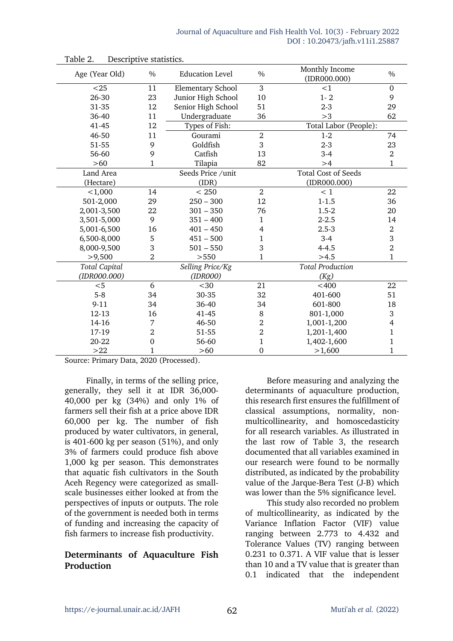| Age (Year Old)       | $\frac{0}{0}$    | <b>Education Level</b>   | $\%$           | Monthly Income<br>$(ID$ R000.000 $)$ | $\frac{0}{0}$  |
|----------------------|------------------|--------------------------|----------------|--------------------------------------|----------------|
| $25$                 | 11               | <b>Elementary School</b> | 3              | <1                                   | $\mathbf 0$    |
| 26-30                | 23               | Junior High School       | 10             | $1 - 2$                              | 9              |
| 31-35                | 12               | Senior High School       | 51             | $2 - 3$                              | 29             |
| 36-40                | 11               | Undergraduate            | 36             | >3                                   | 62             |
| 41-45                | 12               | Types of Fish:           |                | Total Labor (People):                |                |
| 46-50                | 11               | Gourami                  | $\overline{2}$ | $1 - 2$                              | 74             |
| 51-55                | 9                | Goldfish                 | 3              | $2 - 3$                              | 23             |
| 56-60                | 9                | Catfish                  | 13             | $3-4$                                | $\,2$          |
| $>60$                | 1                | Tilapia                  | 82             | >4                                   | $\mathbf 1$    |
| Land Area            |                  | Seeds Price /unit        |                | <b>Total Cost of Seeds</b>           |                |
| (Hectare)            |                  | (IDR)                    |                | $(ID$ R000.000 $)$                   |                |
| < 1,000              | 14               | < 250                    | $\overline{2}$ | < 1                                  | 22             |
| 501-2,000            | 29               | $250 - 300$              | 12             | $1 - 1.5$                            | 36             |
| 2,001-3,500          | 22               | $301 - 350$              | 76             | $1.5 - 2$                            | 20             |
| 3,501-5,000          | 9                | $351 - 400$              | $\mathbf 1$    | $2 - 2.5$                            | 14             |
| 5,001-6,500          | 16               | $401 - 450$              | 4              | $2.5 - 3$                            | $\,2$          |
| 6,500-8,000          | 5                | $451 - 500$              | $\mathbf{1}$   | $3-4$                                | 3              |
| 8,000-9,500          | 3                | $501 - 550$              | 3              | $4 - 4.5$                            | $\overline{2}$ |
| >9,500               | $\overline{2}$   | >550                     | $\mathbf{1}$   | >4.5                                 | $\mathbf{1}$   |
| <b>Total Capital</b> |                  | Selling Price/Kg         |                | <b>Total Production</b>              |                |
| (IDR000.000)         |                  | (IDR000)                 |                | (Kg)                                 |                |
| $<$ 5                | 6                | $30$                     | 21             | $<$ 400                              | 22             |
| $5 - 8$              | 34               | 30-35                    | 32             | 401-600                              | 51             |
| $9 - 11$             | 34               | 36-40                    | 34             | 601-800                              | 18             |
| 12-13                | 16               | 41-45                    | 8              | 801-1,000                            | 3              |
| 14-16                | 7                | 46-50                    | $\overline{2}$ | 1,001-1,200                          | 4              |
| 17-19                | $\overline{2}$   | 51-55                    | $\overline{2}$ | 1,201-1,400                          | $\mathbf 1$    |
| 20-22                | $\boldsymbol{0}$ | 56-60                    | $\mathbf{1}$   | 1,402-1,600                          | $\mathbf 1$    |
| >22                  | 1                | $>60$                    | $\mathbf 0$    | >1,600                               | $\mathbf{1}$   |

Table 2. Descriptive statistics.

Source: Primary Data, 2020 (Processed).

Finally, in terms of the selling price, generally, they sell it at IDR 36,000- 40,000 per kg (34%) and only 1% of farmers sell their fish at a price above IDR 60,000 per kg. The number of fish produced by water cultivators, in general, is 401-600 kg per season (51%), and only 3% of farmers could produce fish above 1,000 kg per season. This demonstrates that aquatic fish cultivators in the South Aceh Regency were categorized as smallscale businesses either looked at from the perspectives of inputs or outputs. The role of the government is needed both in terms of funding and increasing the capacity of fish farmers to increase fish productivity.

# **Determinants of Aquaculture Fish Production**

Before measuring and analyzing the determinants of aquaculture production, this research first ensures the fulfillment of classical assumptions, normality, nonmulticollinearity, and homoscedasticity for all research variables. As illustrated in the last row of Table 3, the research documented that all variables examined in our research were found to be normally distributed, as indicated by the probability value of the Jarque-Bera Test (J-B) which was lower than the 5% significance level.

This study also recorded no problem of multicollinearity, as indicated by the Variance Inflation Factor (VIF) value ranging between 2.773 to 4.432 and Tolerance Values (TV) ranging between 0.231 to 0.371. A VIF value that is lesser than 10 and a TV value that is greater than 0.1 indicated that the independent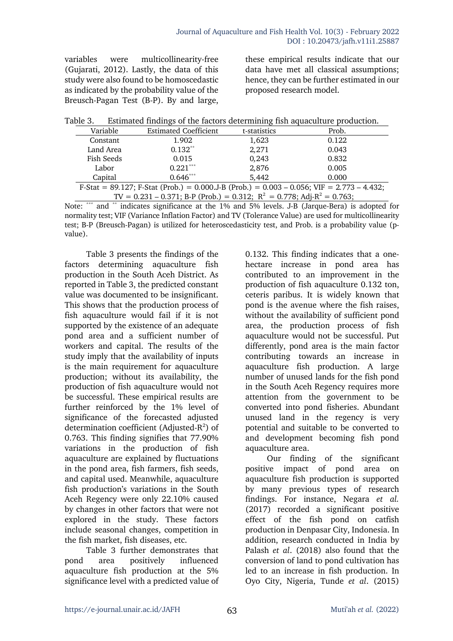variables were multicollinearity-free (Gujarati, 2012). Lastly, the data of this study were also found to be homoscedastic as indicated by the probability value of the Breusch-Pagan Test (B-P). By and large,

these empirical results indicate that our data have met all classical assumptions; hence, they can be further estimated in our proposed research model.

| Table 3. |  | Estimated findings of the factors determining fish aquaculture production. |  |  |  |
|----------|--|----------------------------------------------------------------------------|--|--|--|
|----------|--|----------------------------------------------------------------------------|--|--|--|

| Variable                                                                                        | <b>Estimated Coefficient</b> | t-statistics | Prob. |  |  |
|-------------------------------------------------------------------------------------------------|------------------------------|--------------|-------|--|--|
| Constant                                                                                        | 1.902                        | 1,623        | 0.122 |  |  |
| Land Area                                                                                       | $0.132**$                    | 2,271        | 0.043 |  |  |
| Fish Seeds                                                                                      | 0.015                        | 0,243        | 0.832 |  |  |
| Labor                                                                                           | $0.221***$                   | 2,876        | 0.005 |  |  |
| Capital                                                                                         | $0.646***$                   | 5,442        | 0.000 |  |  |
| F-Stat = 89.127; F-Stat (Prob.) = 0.000.J-B (Prob.) = 0.003 – 0.056; VIF = 2.773 – 4.432;       |                              |              |       |  |  |
| TV = $0.231 - 0.371$ ; B-P (Prob.) = 0.312; R <sup>2</sup> = 0.778; Adj-R <sup>2</sup> = 0.763; |                              |              |       |  |  |

Note: \*\*\* and \*\* indicates significance at the 1% and 5% levels. J-B (Jarque-Bera) is adopted for normality test; VIF (Variance Inflation Factor) and TV (Tolerance Value) are used for multicollinearity test; B-P (Breusch-Pagan) is utilized for heteroscedasticity test, and Prob. is a probability value (pvalue).

Table 3 presents the findings of the factors determining aquaculture fish production in the South Aceh District. As reported in Table 3, the predicted constant value was documented to be insignificant. This shows that the production process of fish aquaculture would fail if it is not supported by the existence of an adequate pond area and a sufficient number of workers and capital. The results of the study imply that the availability of inputs is the main requirement for aquaculture production; without its availability, the production of fish aquaculture would not be successful. These empirical results are further reinforced by the 1% level of significance of the forecasted adjusted determination coefficient (Adjusted- $R^2$ ) of 0.763. This finding signifies that 77.90% variations in the production of fish aquaculture are explained by fluctuations in the pond area, fish farmers, fish seeds, and capital used. Meanwhile, aquaculture fish production's variations in the South Aceh Regency were only 22.10% caused by changes in other factors that were not explored in the study. These factors include seasonal changes, competition in the fish market, fish diseases, etc.

Table 3 further demonstrates that pond area positively influenced aquaculture fish production at the 5% significance level with a predicted value of 0.132. This finding indicates that a onehectare increase in pond area has contributed to an improvement in the production of fish aquaculture 0.132 ton, ceteris paribus. It is widely known that pond is the avenue where the fish raises, without the availability of sufficient pond area, the production process of fish aquaculture would not be successful. Put differently, pond area is the main factor contributing towards an increase in aquaculture fish production. A large number of unused lands for the fish pond in the South Aceh Regency requires more attention from the government to be converted into pond fisheries. Abundant unused land in the regency is very potential and suitable to be converted to and development becoming fish pond aquaculture area.

Our finding of the significant positive impact of pond area on aquaculture fish production is supported by many previous types of research findings. For instance, Negara *et al.* (2017) recorded a significant positive effect of the fish pond on catfish production in Denpasar City, Indonesia. In addition, research conducted in India by Palash *et al*. (2018) also found that the conversion of land to pond cultivation has led to an increase in fish production. In Oyo City, Nigeria, Tunde *et al*. (2015)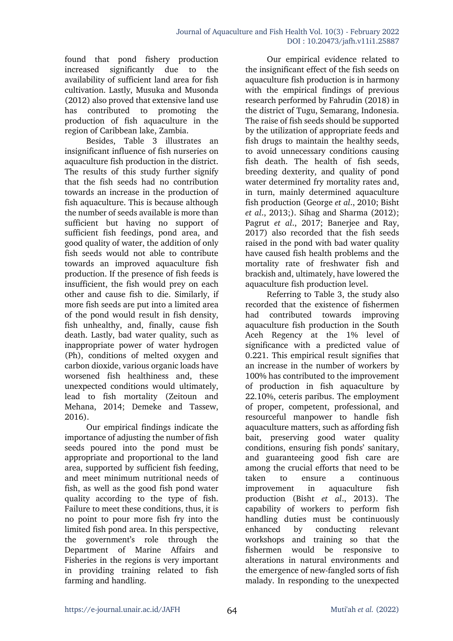found that pond fishery production increased significantly due to the availability of sufficient land area for fish cultivation. Lastly, Musuka and Musonda (2012) also proved that extensive land use has contributed to promoting the production of fish aquaculture in the region of Caribbean lake, Zambia.

Besides, Table 3 illustrates an insignificant influence of fish nurseries on aquaculture fish production in the district. The results of this study further signify that the fish seeds had no contribution towards an increase in the production of fish aquaculture. This is because although the number of seeds available is more than sufficient but having no support of sufficient fish feedings, pond area, and good quality of water, the addition of only fish seeds would not able to contribute towards an improved aquaculture fish production. If the presence of fish feeds is insufficient, the fish would prey on each other and cause fish to die. Similarly, if more fish seeds are put into a limited area of the pond would result in fish density, fish unhealthy, and, finally, cause fish death. Lastly, bad water quality, such as inappropriate power of water hydrogen (Ph), conditions of melted oxygen and carbon dioxide, various organic loads have worsened fish healthiness and, these unexpected conditions would ultimately, lead to fish mortality (Zeitoun and Mehana, 2014; Demeke and Tassew, 2016).

Our empirical findings indicate the importance of adjusting the number of fish seeds poured into the pond must be appropriate and proportional to the land area, supported by sufficient fish feeding, and meet minimum nutritional needs of fish, as well as the good fish pond water quality according to the type of fish. Failure to meet these conditions, thus, it is no point to pour more fish fry into the limited fish pond area. In this perspective, the government's role through the Department of Marine Affairs and Fisheries in the regions is very important in providing training related to fish farming and handling.

Our empirical evidence related to the insignificant effect of the fish seeds on aquaculture fish production is in harmony with the empirical findings of previous research performed by Fahrudin (2018) in the district of Tugu, Semarang, Indonesia. The raise of fish seeds should be supported by the utilization of appropriate feeds and fish drugs to maintain the healthy seeds, to avoid unnecessary conditions causing fish death. The health of fish seeds, breeding dexterity, and quality of pond water determined fry mortality rates and, in turn, mainly determined aquaculture fish production (George *et al*., 2010; Bisht *et al*., 2013;). Sihag and Sharma (2012); Pagrut *et al*., 2017; Banerjee and Ray, 2017) also recorded that the fish seeds raised in the pond with bad water quality have caused fish health problems and the mortality rate of freshwater fish and brackish and, ultimately, have lowered the aquaculture fish production level.

Referring to Table 3, the study also recorded that the existence of fishermen had contributed towards improving aquaculture fish production in the South Aceh Regency at the 1% level of significance with a predicted value of 0.221. This empirical result signifies that an increase in the number of workers by 100% has contributed to the improvement of production in fish aquaculture by 22.10%, ceteris paribus. The employment of proper, competent, professional, and resourceful manpower to handle fish aquaculture matters, such as affording fish bait, preserving good water quality conditions, ensuring fish ponds' sanitary, and guaranteeing good fish care are among the crucial efforts that need to be taken to ensure a continuous improvement in aquaculture fish production (Bisht *et al*., 2013). The capability of workers to perform fish handling duties must be continuously enhanced by conducting relevant workshops and training so that the fishermen would be responsive to alterations in natural environments and the emergence of new-fangled sorts of fish malady. In responding to the unexpected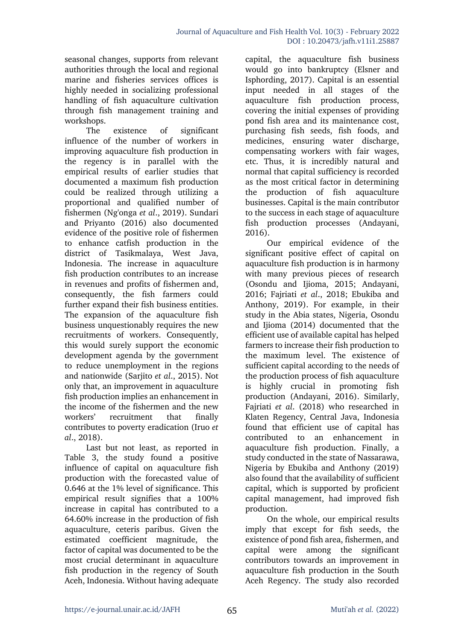seasonal changes, supports from relevant authorities through the local and regional marine and fisheries services offices is highly needed in socializing professional handling of fish aquaculture cultivation through fish management training and workshops.

The existence of significant influence of the number of workers in improving aquaculture fish production in the regency is in parallel with the empirical results of earlier studies that documented a maximum fish production could be realized through utilizing a proportional and qualified number of fishermen (Ng'onga *et al*., 2019). Sundari and Priyanto (2016) also documented evidence of the positive role of fishermen to enhance catfish production in the district of Tasikmalaya, West Java, Indonesia. The increase in aquaculture fish production contributes to an increase in revenues and profits of fishermen and, consequently, the fish farmers could further expand their fish business entities. The expansion of the aquaculture fish business unquestionably requires the new recruitments of workers. Consequently, this would surely support the economic development agenda by the government to reduce unemployment in the regions and nationwide (Sarjito *et al*., 2015). Not only that, an improvement in aquaculture fish production implies an enhancement in the income of the fishermen and the new workers' recruitment that finally contributes to poverty eradication (Iruo *et al*., 2018).

Last but not least, as reported in Table 3, the study found a positive influence of capital on aquaculture fish production with the forecasted value of 0.646 at the 1% level of significance. This empirical result signifies that a 100% increase in capital has contributed to a 64.60% increase in the production of fish aquaculture, ceteris paribus. Given the estimated coefficient magnitude, the factor of capital was documented to be the most crucial determinant in aquaculture fish production in the regency of South Aceh, Indonesia. Without having adequate

capital, the aquaculture fish business would go into bankruptcy (Elsner and Isphording, 2017). Capital is an essential input needed in all stages of the aquaculture fish production process, covering the initial expenses of providing pond fish area and its maintenance cost, purchasing fish seeds, fish foods, and medicines, ensuring water discharge, compensating workers with fair wages, etc. Thus, it is incredibly natural and normal that capital sufficiency is recorded as the most critical factor in determining the production of fish aquaculture businesses. Capital is the main contributor to the success in each stage of aquaculture fish production processes (Andayani, 2016).

Our empirical evidence of the significant positive effect of capital on aquaculture fish production is in harmony with many previous pieces of research (Osondu and Ijioma, 2015; Andayani, 2016; Fajriati *et al*., 2018; Ebukiba and Anthony, 2019). For example, in their study in the Abia states, Nigeria, Osondu and Iiioma (2014) documented that the efficient use of available capital has helped farmers to increase their fish production to the maximum level. The existence of sufficient capital according to the needs of the production process of fish aquaculture is highly crucial in promoting fish production (Andayani, 2016). Similarly, Fajriati *et al*. (2018) who researched in Klaten Regency, Central Java, Indonesia found that efficient use of capital has contributed to an enhancement in aquaculture fish production. Finally, a study conducted in the state of Nassarawa, Nigeria by Ebukiba and Anthony (2019) also found that the availability of sufficient capital, which is supported by proficient capital management, had improved fish production.

On the whole, our empirical results imply that except for fish seeds, the existence of pond fish area, fishermen, and capital were among the significant contributors towards an improvement in aquaculture fish production in the South Aceh Regency. The study also recorded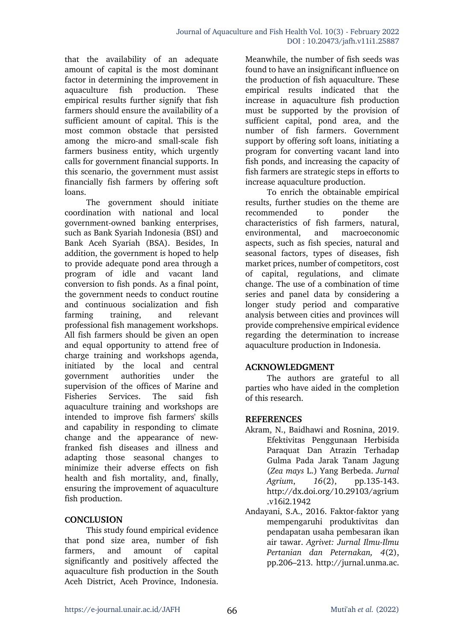that the availability of an adequate amount of capital is the most dominant factor in determining the improvement in aquaculture fish production. These empirical results further signify that fish farmers should ensure the availability of a sufficient amount of capital. This is the most common obstacle that persisted among the micro-and small-scale fish farmers business entity, which urgently calls for government financial supports. In this scenario, the government must assist financially fish farmers by offering soft loans.

The government should initiate coordination with national and local government-owned banking enterprises, such as Bank Syariah Indonesia (BSI) and Bank Aceh Syariah (BSA). Besides, In addition, the government is hoped to help to provide adequate pond area through a program of idle and vacant land conversion to fish ponds. As a final point, the government needs to conduct routine and continuous socialization and fish farming training, and relevant professional fish management workshops. All fish farmers should be given an open and equal opportunity to attend free of charge training and workshops agenda, initiated by the local and central government authorities under the supervision of the offices of Marine and Fisheries Services. The said fish aquaculture training and workshops are intended to improve fish farmers' skills and capability in responding to climate change and the appearance of newfranked fish diseases and illness and adapting those seasonal changes to minimize their adverse effects on fish health and fish mortality, and, finally, ensuring the improvement of aquaculture fish production.

### **CONCLUSION**

This study found empirical evidence that pond size area, number of fish farmers, and amount of capital significantly and positively affected the aquaculture fish production in the South Aceh District, Aceh Province, Indonesia.

Meanwhile, the number of fish seeds was found to have an insignificant influence on the production of fish aquaculture. These empirical results indicated that the increase in aquaculture fish production must be supported by the provision of sufficient capital, pond area, and the number of fish farmers. Government support by offering soft loans, initiating a program for converting vacant land into fish ponds, and increasing the capacity of fish farmers are strategic steps in efforts to increase aquaculture production.

To enrich the obtainable empirical results, further studies on the theme are recommended to ponder the characteristics of fish farmers, natural, environmental, and macroeconomic aspects, such as fish species, natural and seasonal factors, types of diseases, fish market prices, number of competitors, cost of capital, regulations, and climate change. The use of a combination of time series and panel data by considering a longer study period and comparative analysis between cities and provinces will provide comprehensive empirical evidence regarding the determination to increase aquaculture production in Indonesia.

### **ACKNOWLEDGMENT**

The authors are grateful to all parties who have aided in the completion of this research.

### **REFERENCES**

- Akram, N., Baidhawi and Rosnina, 2019. Efektivitas Penggunaan Herbisida Paraquat Dan Atrazin Terhadap Gulma Pada Jarak Tanam Jagung (*Zea mays* L.) Yang Berbeda. *Jurnal Agrium*, *16*(2), pp.135-143. http://dx.doi.org/10.29103/agrium .v16i2.1942
- Andayani, S.A., 2016. Faktor-faktor yang mempengaruhi produktivitas dan pendapatan usaha pembesaran ikan air tawar. *Agrivet: Jurnal Ilmu-Ilmu Pertanian dan Peternakan, 4*(2), pp.206–213. http://jurnal.unma.ac.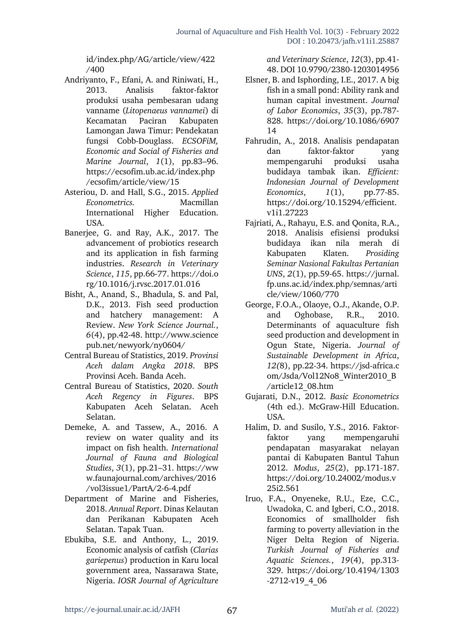id/index.php/AG/article/view/422 /400

- Andriyanto, F., Efani, A. and Riniwati, H., 2013. Analisis faktor-faktor produksi usaha pembesaran udang vanname (*Litopenaeus vannamei*) di Kecamatan Paciran Kabupaten Lamongan Jawa Timur: Pendekatan fungsi Cobb-Douglass. *ECSOFiM, Economic and Social of Fisheries and Marine Journal*, *1*(1), pp.83–96. https://ecsofim.ub.ac.id/index.php /ecsofim/article/view/15
- Asteriou, D. and Hall, S.G., 2015. *Applied Econometrics.* Macmillan International Higher Education. USA.
- Banerjee, G. and Ray, A.K., 2017. The advancement of probiotics research and its application in fish farming industries. *Research in Veterinary Science*, *115*, pp.66-77. https://doi.o rg/10.1016/j.rvsc.2017.01.016
- Bisht, A., Anand, S., Bhadula, S. and Pal, D.K., 2013. Fish seed production and hatchery management: A Review. *New York Science Journal.*, *6*(4), pp.42-48. http://www.science pub.net/newyork/ny0604/
- Central Bureau of Statistics, 2019. *Provinsi Aceh dalam Angka 2018*. BPS Provinsi Aceh. Banda Aceh.
- Central Bureau of Statistics, 2020. *South Aceh Regency in Figures*. BPS Kabupaten Aceh Selatan. Aceh Selatan.
- Demeke, A. and Tassew, A., 2016. A review on water quality and its impact on fish health. *International Journal of Fauna and Biological Studies*, *3*(1), pp.21–31. https://ww w.faunajournal.com/archives/2016 /vol3issue1/PartA/2-6-4.pdf
- Department of Marine and Fisheries, 2018. *Annual Report*. Dinas Kelautan dan Perikanan Kabupaten Aceh Selatan. Tapak Tuan.
- Ebukiba, S.E. and Anthony, L., 2019. Economic analysis of catfish (*Clarias gariepenus*) production in Karu local government area, Nassarawa State, Nigeria. *IOSR Journal of Agriculture*

*and Veterinary Science*, *12*(3), pp.41- 48. DOI 10.9790/2380-1203014956

- Elsner, B. and Isphording, I.E., 2017. A big fish in a small pond: Ability rank and human capital investment. *Journal of Labor Economics*, *35*(3), pp.787- 828. https://doi.org/10.1086/6907 14
- Fahrudin, A., 2018. Analisis pendapatan dan faktor-faktor yang mempengaruhi produksi usaha budidaya tambak ikan. *Efficient: Indonesian Journal of Development Economics*, *1*(1), pp.77-85. https://doi.org/10.15294/efficient. v1i1.27223
- Fajriati, A., Rahayu, E.S. and Qonita, R.A., 2018. Analisis efisiensi produksi budidaya ikan nila merah di Kabupaten Klaten. *Prosiding Seminar Nasional Fakultas Pertanian UNS*, *2*(1), pp.59-65. https://jurnal. fp.uns.ac.id/index.php/semnas/arti cle/view/1060/770
- George, F.O.A., Olaoye, O.J., Akande, O.P. and Oghobase, R.R., 2010. Determinants of aquaculture fish seed production and development in Ogun State, Nigeria. *Journal of Sustainable Development in Africa*, *12(*8), pp.22-34. https://jsd-africa.c om/Jsda/Vol12No8\_Winter2010\_B /article12\_08.htm
- Gujarati, D.N., 2012. *Basic Econometrics* (4th ed.). McGraw-Hill Education. USA.
- Halim, D. and Susilo, Y.S., 2016. Faktorfaktor yang mempengaruhi pendapatan masyarakat nelayan pantai di Kabupaten Bantul Tahun 2012. *Modus*, *25*(2), pp.171-187. https://doi.org/10.24002/modus.v 25i2.561
- Iruo, F.A., Onyeneke, R.U., Eze, C.C., Uwadoka, C. and Igberi, C.O., 2018. Economics of smallholder fish farming to poverty alleviation in the Niger Delta Region of Nigeria. *Turkish Journal of Fisheries and Aquatic Sciences.*, *19*(4), pp.313- 329. https://doi.org/10.4194/1303  $-2712-v19$  4 06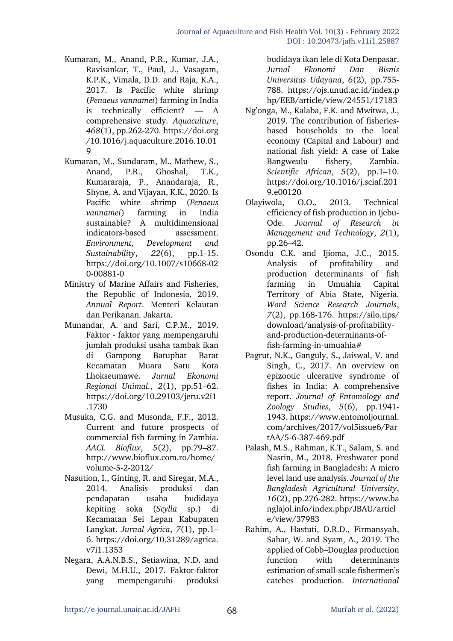- Kumaran, M., Anand, P.R., Kumar, J.A., Ravisankar, T., Paul, J., Vasagam, K.P.K., Vimala, D.D. and Raja, K.A., 2017. Is Pacific white shrimp (*Penaeus vannamei*) farming in India is technically efficient? — A comprehensive study. *Aquaculture*, *468*(1), pp.262-270. https://doi.org /10.1016/j.aquaculture.2016.10.01 9
- Kumaran, M., Sundaram, M., Mathew, S., Anand, P.R., Ghoshal, T.K., Kumararaja, P., Anandaraja, R., Shyne, A. and Vijayan, K.K., 2020. Is Pacific white shrimp (*Penaeus vannamei*) farming in India sustainable? A multidimensional indicators-based assessment. *Environment, Development and Sustainability*, *22*(6), pp.1-15. https://doi.org/10.1007/s10668-02 0-00881-0
- Ministry of Marine Affairs and Fisheries, the Republic of Indonesia, 2019. *Annual Report*. Menteri Kelautan dan Perikanan. Jakarta.
- Munandar, A. and Sari, C.P.M., 2019. Faktor - faktor yang mempengaruhi jumlah produksi usaha tambak ikan di Gampong Batuphat Barat Kecamatan Muara Satu Kota Lhokseumawe. *Jurnal Ekonomi Regional Unimal.*, *2*(1), pp.51–62. https://doi.org/10.29103/jeru.v2i1 .1730
- Musuka, C.G. and Musonda, F.F., 2012. Current and future prospects of commercial fish farming in Zambia. *AACL Bioflux*, *5*(2), pp.79–87. http://www.bioflux.com.ro/home/ volume-5-2-2012/
- Nasution, I., Ginting, R. and Siregar, M.A., 2014. Analisis produksi dan pendapatan usaha budidaya kepiting soka (*Scylla* sp.) di Kecamatan Sei Lepan Kabupaten Langkat. *Jurnal Agrica*, *7*(1), pp.1– 6. https://doi.org/10.31289/agrica. v7i1.1353
- Negara, A.A.N.B.S., Setiawina, N.D. and Dewi, M.H.U., 2017. Faktor-faktor yang mempengaruhi produksi

budidaya ikan lele di Kota Denpasar. *Jurnal Ekonomi Dan Bisnis Universitas Udayana*, *6*(2), pp.755- 788. https://ojs.unud.ac.id/index.p hp/EEB/article/view/24551/17183

- Ng'onga, M., Kalaba, F.K. and Mwitwa, J., 2019. The contribution of fisheriesbased households to the local economy (Capital and Labour) and national fish yield: A case of Lake Bangweulu fishery, Zambia. *Scientific African*, *5*(2), pp.1–10. https://doi.org/10.1016/j.sciaf.201 9.e00120
- Olayiwola, O.O., 2013. Technical efficiency of fish production in Ijebu-Ode. *Journal of Research in Management and Technology*, *2*(1), pp.26–42.
- Osondu C.K. and Ijioma, J.C., 2015. Analysis of profitability and production determinants of fish farming in Umuahia Capital Territory of Abia State, Nigeria. *Word Science Research Journals*, *7*(2), pp.168-176. https://silo.tips/ download/analysis-of-profitabilityand-production-determinants-offish-farming-in-umuahia#
- Pagrut, N.K., Ganguly, S., Jaiswal, V. and Singh, C., 2017. An overview on epizootic ulcerative syndrome of fishes in India: A comprehensive report. *Journal of Entomology and Zoology Studies*, *5*(6), pp.1941- 1943. https://www.entomoljournal. com/archives/2017/vol5issue6/Par tAA/5-6-387-469.pdf
- Palash, M.S., Rahman, K.T., Salam, S. and Nasrin, M., 2018. Freshwater pond fish farming in Bangladesh: A micro level land use analysis. *Journal of the Bangladesh Agricultural University*, *16*(2), pp.276-282. https://www.ba nglajol.info/index.php/JBAU/articl e/view/37983
- Rahim, A., Hastuti, D.R.D., Firmansyah, Sabar, W. and Syam, A., 2019. The applied of Cobb–Douglas production function with determinants estimation of small-scale fishermen's catches production. *International*